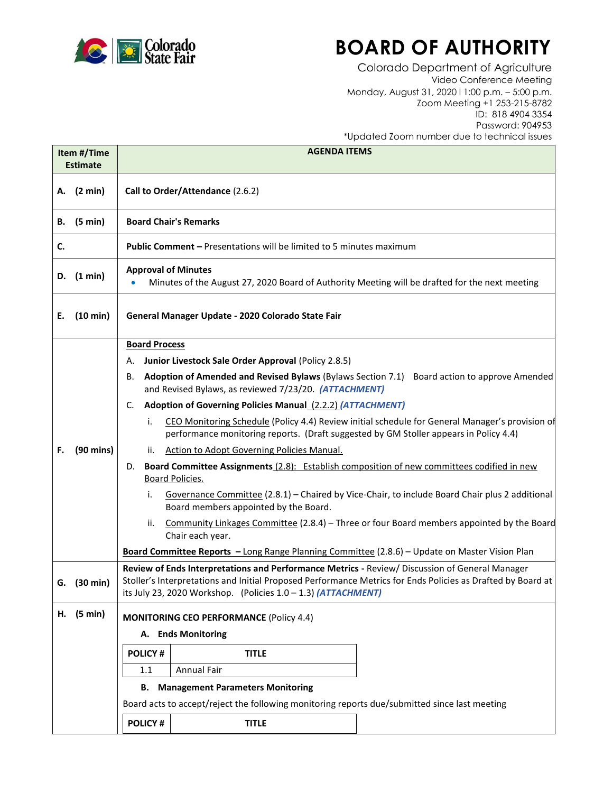

## **BOARD OF AUTHORITY**

Colorado Department of Agriculture Video Conference Meeting Monday, August 31, 2020 l 1:00 p.m. – 5:00 p.m. Zoom Meeting +1 253-215-8782 ID: 818 4904 3354 Password: 904953 \*Updated Zoom number due to technical issues

| Item #/Time     |                     | opaarod zoom nombor doo to toomical issues<br><b>AGENDA ITEMS</b>                                                                                                                                                                                                                 |  |
|-----------------|---------------------|-----------------------------------------------------------------------------------------------------------------------------------------------------------------------------------------------------------------------------------------------------------------------------------|--|
| <b>Estimate</b> |                     |                                                                                                                                                                                                                                                                                   |  |
|                 | A. (2 min)          | Call to Order/Attendance (2.6.2)                                                                                                                                                                                                                                                  |  |
| В.              | (5 min)             | <b>Board Chair's Remarks</b>                                                                                                                                                                                                                                                      |  |
| C.              |                     | <b>Public Comment - Presentations will be limited to 5 minutes maximum</b>                                                                                                                                                                                                        |  |
| D.              | (1 min)             | <b>Approval of Minutes</b><br>Minutes of the August 27, 2020 Board of Authority Meeting will be drafted for the next meeting                                                                                                                                                      |  |
| Е.              | $(10 \text{ min})$  | General Manager Update - 2020 Colorado State Fair                                                                                                                                                                                                                                 |  |
|                 |                     | <b>Board Process</b>                                                                                                                                                                                                                                                              |  |
|                 |                     | Junior Livestock Sale Order Approval (Policy 2.8.5)<br>А.                                                                                                                                                                                                                         |  |
|                 |                     | Adoption of Amended and Revised Bylaws (Bylaws Section 7.1) Board action to approve Amended<br>В.<br>and Revised Bylaws, as reviewed 7/23/20. (ATTACHMENT)                                                                                                                        |  |
|                 |                     | <b>Adoption of Governing Policies Manual (2.2.2) (ATTACHMENT)</b><br>C.                                                                                                                                                                                                           |  |
|                 |                     | CEO Monitoring Schedule (Policy 4.4) Review initial schedule for General Manager's provision of<br>i.<br>performance monitoring reports. (Draft suggested by GM Stoller appears in Policy 4.4)                                                                                    |  |
| F.              | $(90 \text{ mins})$ | <b>Action to Adopt Governing Policies Manual.</b><br>ii.                                                                                                                                                                                                                          |  |
|                 |                     | Board Committee Assignments (2.8): Establish composition of new committees codified in new<br>D.<br><b>Board Policies.</b>                                                                                                                                                        |  |
|                 |                     | Governance Committee (2.8.1) - Chaired by Vice-Chair, to include Board Chair plus 2 additional<br>i.<br>Board members appointed by the Board.                                                                                                                                     |  |
|                 |                     | Community Linkages Committee (2.8.4) - Three or four Board members appointed by the Board<br>ii.<br>Chair each year.                                                                                                                                                              |  |
|                 |                     | Board Committee Reports - Long Range Planning Committee (2.8.6) - Update on Master Vision Plan                                                                                                                                                                                    |  |
| G.              | $(30 \text{ min})$  | Review of Ends Interpretations and Performance Metrics - Review/ Discussion of General Manager<br>Stoller's Interpretations and Initial Proposed Performance Metrics for Ends Policies as Drafted by Board at<br>its July 23, 2020 Workshop. (Policies $1.0 - 1.3$ ) (ATTACHMENT) |  |
| Н.              | (5 min)             | <b>MONITORING CEO PERFORMANCE (Policy 4.4)</b>                                                                                                                                                                                                                                    |  |
|                 |                     | A. Ends Monitoring                                                                                                                                                                                                                                                                |  |
|                 |                     | <b>POLICY#</b><br><b>TITLE</b>                                                                                                                                                                                                                                                    |  |
|                 |                     | <b>Annual Fair</b><br>1.1                                                                                                                                                                                                                                                         |  |
|                 |                     | <b>Management Parameters Monitoring</b><br>В.                                                                                                                                                                                                                                     |  |
|                 |                     | Board acts to accept/reject the following monitoring reports due/submitted since last meeting                                                                                                                                                                                     |  |
|                 |                     | <b>POLICY#</b><br><b>TITLE</b>                                                                                                                                                                                                                                                    |  |